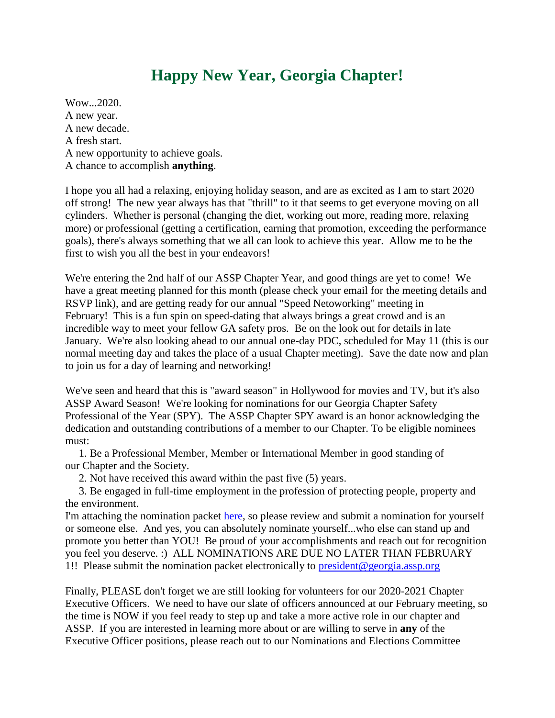## **Happy New Year, Georgia Chapter!**

Wow...2020. A new year. A new decade. A fresh start. A new opportunity to achieve goals. A chance to accomplish **anything**.

I hope you all had a relaxing, enjoying holiday season, and are as excited as I am to start 2020 off strong! The new year always has that "thrill" to it that seems to get everyone moving on all cylinders. Whether is personal (changing the diet, working out more, reading more, relaxing more) or professional (getting a certification, earning that promotion, exceeding the performance goals), there's always something that we all can look to achieve this year. Allow me to be the first to wish you all the best in your endeavors!

We're entering the 2nd half of our ASSP Chapter Year, and good things are yet to come! We have a great meeting planned for this month (please check your email for the meeting details and RSVP link), and are getting ready for our annual "Speed Netoworking" meeting in February! This is a fun spin on speed-dating that always brings a great crowd and is an incredible way to meet your fellow GA safety pros. Be on the look out for details in late January. We're also looking ahead to our annual one-day PDC, scheduled for May 11 (this is our normal meeting day and takes the place of a usual Chapter meeting). Save the date now and plan to join us for a day of learning and networking!

We've seen and heard that this is "award season" in Hollywood for movies and TV, but it's also ASSP Award Season! We're looking for nominations for our Georgia Chapter Safety Professional of the Year (SPY). The ASSP Chapter SPY award is an honor acknowledging the dedication and outstanding contributions of a member to our Chapter. To be eligible nominees must:

1. Be a Professional Member, Member or International Member in good standing of our Chapter and the Society.

2. Not have received this award within the past five (5) years.

3. Be engaged in full-time employment in the profession of protecting people, property and the environment.

I'm attaching the nomination packet [here,](https://images.magnetmail.net/images/clients/ASSE_GA/attach/assp-chapter-spy-packet.pdf) so please review and submit a nomination for yourself or someone else. And yes, you can absolutely nominate yourself...who else can stand up and promote you better than YOU! Be proud of your accomplishments and reach out for recognition you feel you deserve. :) ALL NOMINATIONS ARE DUE NO LATER THAN FEBRUARY 1!! Please submit the nomination packet electronically to  $president@georgia.assp.org$ 

Finally, PLEASE don't forget we are still looking for volunteers for our 2020-2021 Chapter Executive Officers. We need to have our slate of officers announced at our February meeting, so the time is NOW if you feel ready to step up and take a more active role in our chapter and ASSP. If you are interested in learning more about or are willing to serve in **any** of the Executive Officer positions, please reach out to our Nominations and Elections Committee